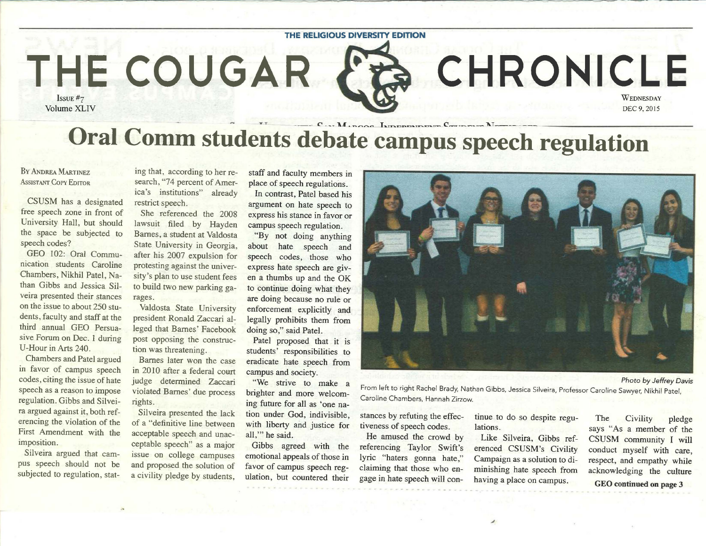

## BY ANDREA MARTINEZ **ASSISTANT COPY EDITOR**

CSUSM has a designated free speech zone in front of University Hall, but should the space be subjected to speech codes?

GEO 102: Oral Communication students Caroline Chambers, Nikhil Patel, Nathan Gibbs and Jessica Silveira presented their stances on the issue to about 250 students, faculty and staff at the third annual GEO Persuasive Forum on Dec. 1 during U-Hour in Arts 240.

Chambers and Patel argued in favor of campus speech codes, citing the issue of hate speech as a reason to impose regulation. Gibbs and Silveira argued against it, both referencing the violation of the First Amendment with the imposition.

Silveira argued that campus speech should not be subjected to regulation, stat-

ing that, according to her research, "74 percent of America's institutions" already restrict speech.

She referenced the 2008 lawsuit filed by Hayden Barnes, a student at Valdosta State University in Georgia, after his 2007 expulsion for protesting against the university's plan to use student fees to build two new parking garages.

Valdosta State University president Ronald Zaccari alleged that Barnes' Facebook post opposing the construction was threatening.

Barnes later won the case in 20 10 after a federal court judge determined Zaccari violated Barnes' due process rights.

Silveira presented the lack of a "definitive line between acceptable speech and unacceptable speech" as a major issue on college campuses and proposed the solution of a civility pledge by students,

staff and faculty members in place of speech regulations. In contrast, Patel based his

argument on hate speech to express his stance in favor or campus speech regulation.

"By not doing anything about hate speech and speech codes, those who express hate speech are given a thumbs up and the OK to continue doing what they are doing because no rule or enforcement explicitly and legally prohibits them from doing so," said Patel.

Patel proposed that it is students' responsibilities to eradicate hate speech from campus and society.

"We strive to make a brighter and more welcoming future for all as 'one nation under God, indivisible, with liberty and justice for all,"' he said.

Gibbs agreed with the emotional appeals of those in favor of campus speech regulation, but countered their

From left to right Rachel Brady, Nathan Gibbs, Jessica Silveira, Professor Caroline Sawyer, Nikhil Patel, Caroline Chambers, Hannah Zirzow.

claiming that those who en-<br>gage in hate speech will con-<br>having a place on campus having a place on campus. GEO continued on page 3

stances by refuting the effections of speech codes. In the civility pledge tiveness of speech codes. In the community. I will says "As a member of the community I will says "As a member of the community I will He amused the crowd by Like Silveira, Gibbs ref- CSUSM community I will<br>referencing Taylor Swift's erenced CSUSM's Civility conduct myself with care referencing Taylor Swift's erenced CSUSM's Civility conduct myself with care,<br>lyric "haters gonna hate," Campaign as a solution to di-<br>respect and empathy while lyric "haters gonna hate," Campaign as a solution to di-<br>claiming that those who en-<br>minishing hate speech from acknowledging the culture

Photo by Jeffrey Davis